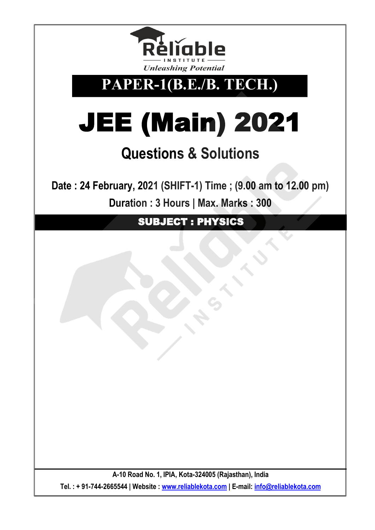

**PAPER-1(B.E./B. TECH.)**

# JEE (Main) 2021

# **Questions & Solutions**

**Date : 24 February, 2021 (SHIFT-1) Time ; (9.00 am to 12.00 pm) Duration : 3 Hours | Max. Marks : 300** 

SUBJECT : PHYSICS

**A-10 Road No. 1, IPIA, Kota-324005 (Rajasthan), India Tel. : + 91-744-2665544 | Website : [www.reliablekota.com](http://www.reliablekota.com/) | E-mail: [info@reliablekota.com](mailto:info@reliablekota.com)**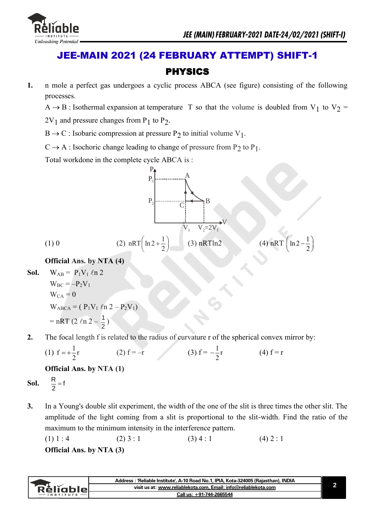

## JEE-MAIN 2021 (24 FEBRUARY ATTEMPT) SHIFT-1 PHYSICS

- **1.** n mole a perfect gas undergoes a cyclic process ABCA (see figure) consisting of the following processes.
	- $A \rightarrow B$ : Isothermal expansion at temperature T so that the volume is doubled from V<sub>1</sub> to V<sub>2</sub> =

 $2V_1$  and pressure changes from P<sub>1</sub> to P<sub>2</sub>.

 $B \rightarrow C$ : Isobaric compression at pressure P<sub>2</sub> to initial volume V<sub>1</sub>.

 $C \rightarrow A$ : Isochoric change leading to change of pressure from P<sub>2</sub> to P<sub>1</sub>.

Total workdone in the complete cycle ABCA is :



### **Official Ans. by NTA (4)**

**Sol.** 
$$
W_{AB} = P_1 V_1 \ln 2
$$
  
\n $W_{BC} = -P_2 V_1$   
\n $W_{CA} = 0$   
\n $W_{ABCA} = (P_1 V_1 \ln 2 - P_2 V_1)$   
\n $= nRT (2 \ln 2 - \frac{1}{2})$ 

**2.** The focal length f is related to the radius of curvature r of the spherical convex mirror by:

(1) 
$$
f = +\frac{1}{2}r
$$
 (2)  $f = -r$  (3)  $f = -\frac{1}{2}r$  (4)  $f = r$ 

### **Official Ans. by NTA (1)**

**Sol.** 
$$
\frac{R}{2} = f
$$

**3.** In a Young's double slit experiment, the width of the one of the slit is three times the other slit. The amplitude of the light coming from a slit is proportional to the slit-width. Find the ratio of the maximum to the minimum intensity in the interference pattern.

(1) 1 : 4   
Official Ans. by NTA (3)   

$$
(3) 4 : 1
$$
 (4) 2 : 1

|           | Address : 'Reliable Institute', A-10 Road No.1, IPIA, Kota-324005 (Rajasthan), INDIA |  |
|-----------|--------------------------------------------------------------------------------------|--|
| Rélighiel | visit us at: www.reliablekota.com, Email: info@reliablekota.com                      |  |
|           | Call us: +91-744-2665544                                                             |  |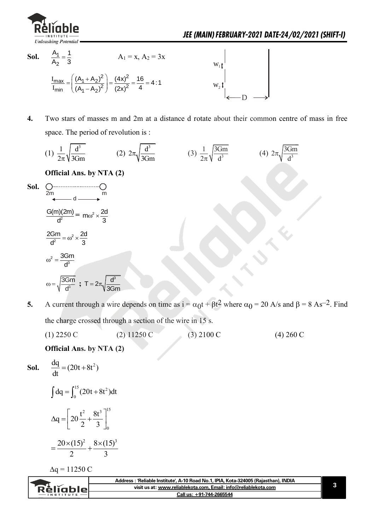

- **Sol.**   $\overline{1}$ 2  $A_1$  1  $A_2$  3  $A_1 = x$ ,  $A_2 = 3x$  $\frac{2}{\text{max}} = \left(\frac{(A_1 + A_2)^2}{(A_1 + A_2)^2}\right) = \frac{(4x)^2}{(4x)^2}$  $\frac{\text{max}}{\text{min}} = \left(\frac{(A_1 + A_2)^2}{(A_1 - A_2)^2}\right) = \frac{(4x)^2}{(2x)^2}$  $\left(\frac{(A_1 + A_2)^2}{(A_1 + A_2)^2}\right) = \frac{(4x)^2}{(2x)^2} = \frac{16}{4} = 4:1$  $\left(\frac{(A_1 + A_2)^2}{(A_1 - A_2)^2}\right) = \frac{(4x)^2}{(2x)^2} = \frac{16}{4}$  $I_{\text{max}}$   $((A_1 + A_2)^2)$  (4)  $\frac{I_{\text{max}}}{I_{\text{min}}}$  =  $\left(\frac{(A_1 + A_2)^2}{(A_1 - A_2)^2}\right)$  =  $\frac{(4x)^2}{(2x)^2}$  =  $\frac{16}{4}$  = 4:1 D  $W_1$  $W_2$
- **4.** Two stars of masses m and 2m at a distance d rotate about their common centre of mass in free space. The period of revolution is :

(1) 
$$
\frac{1}{2\pi} \sqrt{\frac{d^3}{3Gm}}
$$
 (2)  $2\pi \sqrt{\frac{d^3}{3Gm}}$  (3)  $\frac{1}{2\pi} \sqrt{\frac{3Gm}{d^3}}$  (4)  $2\pi \sqrt{\frac{3Gm}{d^3}}$   
\n**Official Ans. by NTA (2)**  
\n**Sol.**  $\underset{2m}{\underbrace{Cm \longrightarrow C}}_{\text{at }d \longrightarrow m}$   
\n $\underset{d^2}{\underbrace{G(m)(2m)}} = m\omega^2 \times \frac{2d}{3}$   
\n $\frac{2Gm}{d^2} = \omega^2 \times \frac{2d}{3}$   
\n $\omega^2 = \frac{3Gm}{d^3}$   
\n $\omega = \sqrt{\frac{3Gm}{d^3}}$ ;  $T = 2\pi \sqrt{\frac{d^3}{3Gm}}$ 

**5.** A current through a wire depends on time as  $i = \alpha_0 t + \beta t^2$  where  $\alpha_0 = 20$  A/s and  $\beta = 8$  As<sup>-2</sup>. Find the charge crossed through a section of the wire in 15 s.

(1) 2250 C (2) 11250 C (3) 2100 C (4) 260 C

 **Official Ans. by NTA (2)** 

**Sol.** 
$$
\frac{dq}{dt} = (20t + 8t^2)
$$

$$
\int dq = \int_0^{15} (20t + 8t^2) dt
$$

$$
\Delta q = \left[ 20 \frac{t^2}{2} + \frac{8t^3}{3} \right]_0^{15}
$$

$$
=\frac{20\times(15)^2}{2}+\frac{8\times(15)^3}{3}
$$

 $\Delta q = 11250 C$ 

| visit us at: www.reliablekota.com. Email: info@reliablekota.com<br>Relighier<br>Call us: +91-744-2665544 | Address : 'Reliable Institute', A-10 Road No.1, IPIA, Kota-324005 (Rajasthan), INDIA |  |
|----------------------------------------------------------------------------------------------------------|--------------------------------------------------------------------------------------|--|
|                                                                                                          |                                                                                      |  |
|                                                                                                          |                                                                                      |  |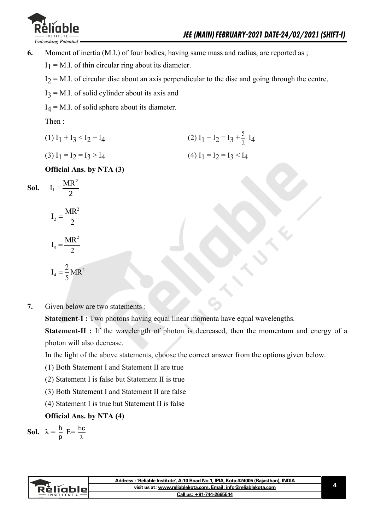

**6.** Moment of inertia (M.I.) of four bodies, having same mass and radius, are reported as ;

 $I_1 = M.I$ . of thin circular ring about its diameter.

 $I_2 = M.I.$  of circular disc about an axis perpendicular to the disc and going through the centre,

 $I_3$  = M.I. of solid cylinder about its axis and

 $I_4$  = M.I. of solid sphere about its diameter.

Then :

 $(1) I_1 + I_3 < I_2 + I_4$ (2)  $I_1 + I_2 = I_3 + \frac{5}{2}$  $\frac{3}{2}$  I<sub>4</sub>

$$
(3) I1 = I2 = I3 > I4
$$
\n
$$
(4) I1 = I2 = I3 < I4
$$

 **Official Ans. by NTA (3)** 

**Sol.**  $I_1 =$ 2  $MR^2$ 

$$
I_2 = \frac{MR^2}{2}
$$

$$
I_3 = \frac{MR^2}{2}
$$

$$
I_4 = \frac{2}{5}MR^2
$$

**7.** Given below are two statements :

**Statement-I :** Two photons having equal linear momenta have equal wavelengths.

**Statement-II :** If the wavelength of photon is decreased, then the momentum and energy of a photon will also decrease.

In the light of the above statements, choose the correct answer from the options given below.

- (1) Both Statement I and Statement II are true
- (2) Statement I is false but Statement II is true
- (3) Both Statement I and Statement II are false
- (4) Statement I is true but Statement II is false

### **Official Ans. by NTA (4)**

**Sol.** 
$$
\lambda = \frac{h}{p}
$$
 E= $\frac{hc}{\lambda}$ 

|           | Address : 'Reliable Institute', A-10 Road No.1, IPIA, Kota-324005 (Rajasthan), INDIA |  |
|-----------|--------------------------------------------------------------------------------------|--|
| Rèliablel | visit us at: www.reliablekota.com, Email: info@reliablekota.com                      |  |
|           | Call us: +91-744-2665544                                                             |  |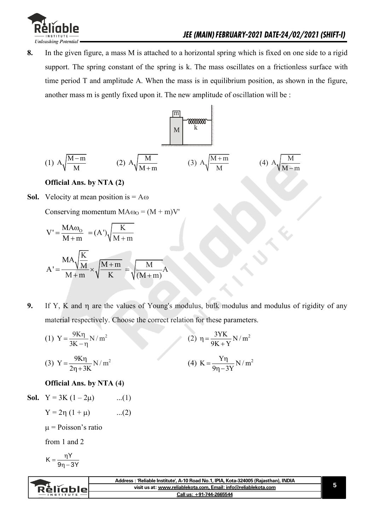

**8.** In the given figure, a mass M is attached to a horizontal spring which is fixed on one side to a rigid support. The spring constant of the spring is k. The mass oscillates on a frictionless surface with time period T and amplitude A. When the mass is in equilibrium position, as shown in the figure, another mass m is gently fixed upon it. The new amplitude of oscillation will be :



### **Official Ans. by NTA (2)**

**Sol.** Velocity at mean position is  $= A\omega$ 

Conserving momentum  $MA\omega_0 = (M + m)V'$ 

$$
V' = \frac{MA\omega_0}{M+m} = (A')\sqrt{\frac{K}{M+m}}
$$

$$
A' = \frac{MA\sqrt{\frac{K}{M}}}{M+m} \times \sqrt{\frac{M+m}{K}} = \sqrt{\frac{M}{(M+m)}}A
$$

**9.** If Y, K and  $\eta$  are the values of Young's modulus, bulk modulus and modulus of rigidity of any material respectively. Choose the correct relation for these parameters.

(1) 
$$
Y = \frac{9K\eta}{3K - \eta} N/m^{2}
$$
  
(2) 
$$
\eta = \frac{3YK}{9K + Y} N/m^{2}
$$
  
(3) 
$$
Y = \frac{9K\eta}{2\eta + 3K} N/m^{2}
$$
  
(4) 
$$
K = \frac{Y\eta}{9\eta - 3Y} N/m^{2}
$$

### **Official Ans. by NTA (4)**

**Sol.** 
$$
Y = 3K (1 - 2\mu)
$$
 ...(1)

$$
Y = 2\eta (1 + \mu) \qquad ...(2)
$$

 $\mu$  = Poisson's ratio

from 1 and 2

$$
K=\frac{\eta Y}{9\eta-3Y}
$$

|          | Address : 'Reliable Institute', A-10 Road No.1, IPIA, Kota-324005 (Rajasthan), INDIA |  |
|----------|--------------------------------------------------------------------------------------|--|
| Rélighie | visit us at: www.reliablekota.com, Email: info@reliablekota.com                      |  |
|          | Call us: +91-744-2665544                                                             |  |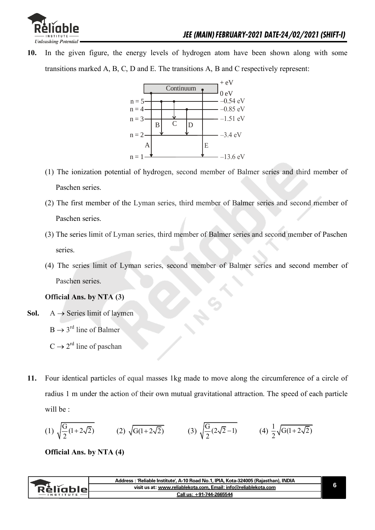

**10.** In the given figure, the energy levels of hydrogen atom have been shown along with some transitions marked A, B, C, D and E. The transitions A, B and C respectively represent:



- (1) The ionization potential of hydrogen, second member of Balmer series and third member of Paschen series.
- (2) The first member of the Lyman series, third member of Balmer series and second member of Paschen series.
- (3) The series limit of Lyman series, third member of Balmer series and second member of Paschen series.
- (4) The series limit of Lyman series, second member of Balmer series and second member of Paschen series.

### **Official Ans. by NTA (3)**

**Sol.**  $A \rightarrow$  Series limit of laymen

 $B \rightarrow 3^{rd}$  line of Balmer

- $C \rightarrow 2^{rd}$  line of paschan
- **11.** Four identical particles of equal masses 1kg made to move along the circumference of a circle of radius 1 m under the action of their own mutual gravitational attraction. The speed of each particle will be :

(1) 
$$
\sqrt{\frac{G}{2}(1+2\sqrt{2})}
$$
 (2)  $\sqrt{G(1+2\sqrt{2})}$  (3)  $\sqrt{\frac{G}{2}(2\sqrt{2}-1)}$  (4)  $\frac{1}{2}\sqrt{G(1+2\sqrt{2})}$ 

 **Official Ans. by NTA (4)** 

|          | Address : 'Reliable Institute', A-10 Road No.1, IPIA, Kota-324005 (Rajasthan), INDIA |  |
|----------|--------------------------------------------------------------------------------------|--|
| кешппіен | visit us at: www.reliablekota.com. Email: info@reliablekota.com                      |  |
|          | +91-744-2665544<br>∴all us:                                                          |  |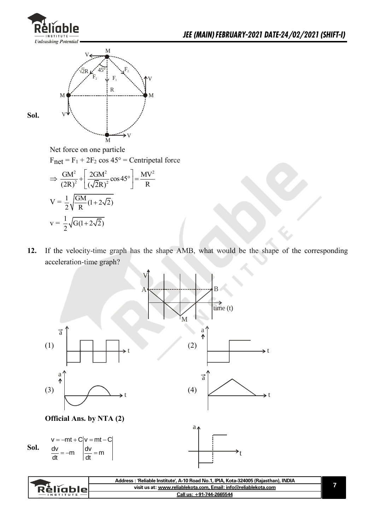



Net force on one particle

 $F_{\text{net}} = F_1 + 2F_2 \cos 45^\circ =$  Centripetal force

$$
\Rightarrow \frac{GM^2}{(2R)^2} + \left[\frac{2GM^2}{(\sqrt{2}R)^2} \cos 45^\circ\right] = \frac{MV^2}{R}
$$

$$
V = \frac{1}{2} \sqrt{\frac{GM}{R} (1 + 2\sqrt{2})}
$$

$$
v = \frac{1}{2} \sqrt{G(1 + 2\sqrt{2})}
$$

**12.** If the velocity-time graph has the shape AMB, what would be the shape of the corresponding acceleration-time graph?



| visit us at: www.reliablekota.com, Email: info@reliablekota.com<br>RéliableL<br>Call us: +91-744-2665544<br>$-$ INSTITUTE $-$ | Address : 'Reliable Institute', A-10 Road No.1, IPIA, Kota-324005 (Rajasthan), INDIA |  |
|-------------------------------------------------------------------------------------------------------------------------------|--------------------------------------------------------------------------------------|--|
|                                                                                                                               |                                                                                      |  |
|                                                                                                                               |                                                                                      |  |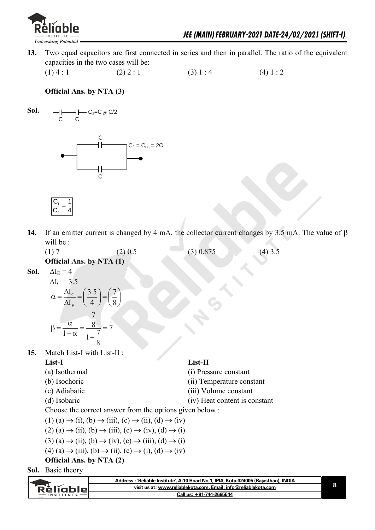

**13.** Two equal capacitors are first connected in series and then in parallel. The ratio of the equivalent capacities in the two cases will be:

(1) 4 : 1 (2) 2 : 1 (3) 1 : 4 (4) 1 : 2

 **Official Ans. by NTA (3)** 







14. If an emitter current is changed by 4 mA, the collector current changes by 3.5 mA. The value of  $\beta$ will be :

|      | (1)7                            | $(2)$ 0.5 | $(3)$ 0.875 | $(4)$ 3.5 |
|------|---------------------------------|-----------|-------------|-----------|
|      | <b>Official Ans. by NTA (1)</b> |           |             |           |
| Sol. | $\Delta I_{\rm E} = 4$          |           |             |           |
|      |                                 |           |             |           |

$$
\Delta I_C = 3.5
$$
  
\n
$$
\alpha = \frac{\Delta I_C}{\Delta I_E} = \left(\frac{3.5}{4}\right) = \left(\frac{7}{8}\right)
$$
  
\n
$$
\beta = \frac{\alpha}{1-\alpha} = \frac{\frac{7}{8}}{1-\frac{7}{8}} = 7
$$

**15.** Match List-I with List-II :

 $Sol.$ 

 **List-I List-II** (a) Isothermal (i) Pressure constant (b) Isochoric (ii) Temperature constant (c) Adiabatic (iii) Volume constant (d) Isobaric (iv) Heat content is constant

Choose the correct answer from the options given below :

 $(1)$  (a)  $\rightarrow$  (i), (b)  $\rightarrow$  (iii), (c)  $\rightarrow$  (ii), (d)  $\rightarrow$  (iv)

$$
(2) (a) \rightarrow (ii), (b) \rightarrow (iii), (c) \rightarrow (iv), (d) \rightarrow (i)
$$

$$
(3) (a) \rightarrow (ii), (b) \rightarrow (iv), (c) \rightarrow (iii), (d) \rightarrow (i)
$$

$$
(4) (a) \rightarrow (iii), (b) \rightarrow (ii), (c) \rightarrow (i), (d) \rightarrow (iv)
$$

### **Official Ans. by NTA (2)**

**Sol.** Basic theory

|                  | Address: 'Reliable Institute', A-10 Road No.1, IPIA, Kota-324005 (Rajasthan), INDIA |  |
|------------------|-------------------------------------------------------------------------------------|--|
| `RèlĭableL       | visit us at: www.reliablekota.com, Email: info@reliablekota.com                     |  |
| <b>INSTITUTE</b> | Call us: +91-744-2665544                                                            |  |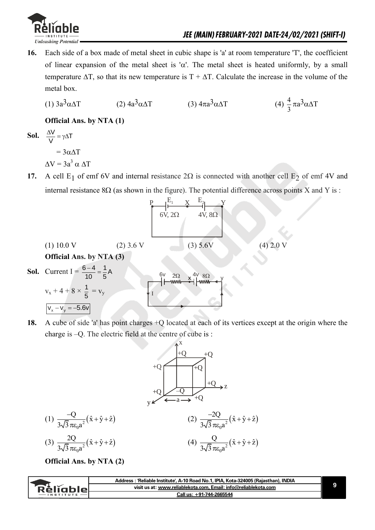

**16.** Each side of a box made of metal sheet in cubic shape is 'a' at room temperature 'T', the coefficient of linear expansion of the metal sheet is ' $\alpha$ '. The metal sheet is heated uniformly, by a small temperature  $\Delta T$ , so that its new temperature is  $T + \Delta T$ . Calculate the increase in the volume of the metal box.

(1) 
$$
3a^3\alpha\Delta T
$$
 (2)  $4a^3\alpha\Delta T$  (3)  $4\pi a^3\alpha\Delta T$  (4)  $\frac{4}{3}\pi a^3\alpha\Delta T$ 

 **Official Ans. by NTA (1)** 

**Sol.** 
$$
\frac{\Delta V}{V} = \gamma \Delta T
$$

$$
= 3\alpha \Delta T
$$

$$
\Delta V = 3a^3 \alpha \Delta T
$$

17. A cell  $E_1$  of emf 6V and internal resistance  $2\Omega$  is connected with another cell  $E_2$  of emf 4V and internal resistance  $8\Omega$  (as shown in the figure). The potential difference across points X and Y is :

| (1) 10.0 V                             | (2) 3.6 V  | (3) 5.6 V |
|----------------------------------------|------------|-----------|
| (4) 2.0 V                              |            |           |
| <b>1</b> 10.0 V                        | (2) 3.6 V  | (3) 5.6 V |
| <b>1</b> 2.0 V                         |            |           |
| <b>1</b> 3.6 V                         | (3) 5.6 V  |           |
| <b>1</b> 4.2 V                         |            |           |
| <b>1</b> 5 V                           | <b>1</b> W |           |
| $V_x + 4 + 8 \times \frac{1}{5} = v_y$ |            |           |
| $V_x - V_y = -5.6 V$                   | <b>1</b> W |           |

**18.** A cube of side 'a' has point charges +Q located at each of its vertices except at the origin where the charge is –Q. The electric field at the centre of cube is :

$$
+Q
$$
\n
$$
+Q
$$
\n
$$
+Q
$$
\n
$$
+Q
$$
\n
$$
+Q
$$
\n
$$
+Q
$$
\n
$$
+Q
$$
\n
$$
+Q
$$
\n
$$
+Q
$$
\n
$$
+Q
$$
\n
$$
+Q
$$
\n
$$
+Q
$$
\n
$$
+Q
$$
\n
$$
+Q
$$
\n
$$
+Q
$$
\n
$$
+Q
$$
\n
$$
+Q
$$
\n
$$
+Q
$$
\n
$$
+Q
$$
\n
$$
+Q
$$
\n
$$
+Q
$$
\n
$$
+Q
$$
\n
$$
+Q
$$
\n
$$
+Q
$$
\n
$$
+Q
$$
\n
$$
+Q
$$
\n
$$
+Q
$$
\n
$$
+Q
$$
\n
$$
+Q
$$
\n
$$
+Q
$$
\n
$$
+Q
$$
\n
$$
+Q
$$
\n
$$
+Q
$$
\n
$$
+Q
$$
\n
$$
+Q
$$
\n
$$
+Q
$$
\n
$$
+Q
$$
\n
$$
+Q
$$
\n
$$
+Q
$$
\n
$$
+Q
$$
\n
$$
+Q
$$
\n
$$
+Q
$$
\n
$$
+Q
$$
\n
$$
+Q
$$
\n
$$
+Q
$$
\n
$$
+Q
$$
\n
$$
+Q
$$
\n
$$
+Q
$$
\n
$$
+Q
$$
\n
$$
+Q
$$
\n
$$
+Q
$$
\n
$$
+Q
$$
\n
$$
+Q
$$
\n
$$
+Q
$$
\n
$$
+Q
$$
\n
$$
+Q
$$
\n
$$
+Q
$$
\n
$$
+Q
$$
\n
$$
+Q
$$
\n
$$
+Q
$$
\n
$$
+Q
$$
\n
$$
+Q
$$
\n
$$
+Q
$$
\n
$$
+Q
$$

 **Official Ans. by NTA (2)** 

| visit us at: www.reliablekota.com, Email: info@reliablekota.com<br><b>Rèliable</b><br>Call us: +91-744-2665544<br><b>INSTITUTE</b> | Address: 'Reliable Institute', A-10 Road No.1, IPIA, Kota-324005 (Rajasthan), INDIA |
|------------------------------------------------------------------------------------------------------------------------------------|-------------------------------------------------------------------------------------|
|                                                                                                                                    |                                                                                     |
|                                                                                                                                    |                                                                                     |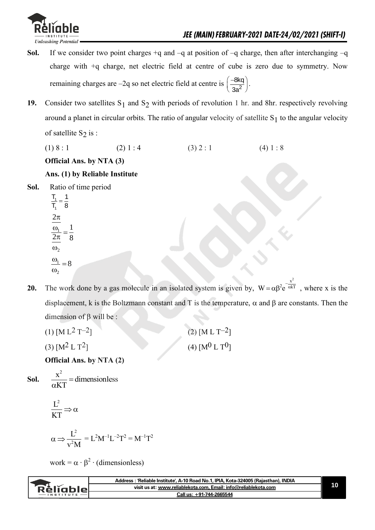- **Sol.** If we consider two point charges +q and –q at position of –q charge, then after interchanging –q charge with +q charge, net electric field at centre of cube is zero due to symmetry. Now remaining charges are –2q so net electric field at centre is  $\frac{-600}{32}$ 8kq 3a  $(-8kq)$  $\left(\frac{-\text{onq}}{3a^2}\right)$ .
- **19.** Consider two satellites  $S_1$  and  $S_2$  with periods of revolution 1 hr. and 8hr. respectively revolving around a planet in circular orbits. The ratio of angular velocity of satellite  $S_1$  to the angular velocity of satellite  $S_2$  is :
- (1) 8 : 1 (2) 1 : 4 (3) 2 : 1 (4) 1 : 8

### **Official Ans. by NTA (3)**

### **Ans. (1) by Reliable Institute**

- **Sol.** Ratio of time period
	- 1 1  $T_1$  1  $\frac{11}{1} = \frac{1}{8}$ 8 1  $\frac{\omega_1}{2\pi} =$  $2\pi$  $\omega$ <sub>2</sub>  $\omega$ 8 2  $\frac{1}{2}$  =  $\omega$  $\omega$
- **20.** The work done by a gas molecule in an isolated system is given by,  $W = \alpha \beta^2 e^{-\alpha}$  $x^2$  $W = \alpha \beta^2 e^{-\alpha kT}$ , where x is the displacement, k is the Boltzmann constant and T is the temperature,  $\alpha$  and  $\beta$  are constants. Then the dimension of  $\beta$  will be :
	- (1)  $[M L^2 T^{-2}]$  (2)  $[M L T^{-2}]$ (3)  $[M^2 L T^2]$  (4)  $[M^0 L T^0]$

 **Official Ans. by NTA (2)** 

Sol.  $\frac{\Delta}{\Delta t}$  =  $\alpha$  $\frac{x^2}{x}$  = dimensionless KT

> $L^2$ KT  $\Rightarrow \alpha$

$$
\alpha \Longrightarrow \frac{L^2}{v^2M} = L^2M^{-1}L^{-2}T^2 = M^{-1}T^2
$$

work =  $\alpha \cdot \beta^2 \cdot$  (dimensionless)

| visit us at: www.reliablekota.com, Email: info@reliablekota.com<br>Religbier<br>Call us: +91-744-2665544<br><b>INSTITUTE</b> | Address: 'Reliable Institute', A-10 Road No.1, IPIA, Kota-324005 (Rajasthan), INDIA |  |
|------------------------------------------------------------------------------------------------------------------------------|-------------------------------------------------------------------------------------|--|
|                                                                                                                              |                                                                                     |  |
|                                                                                                                              |                                                                                     |  |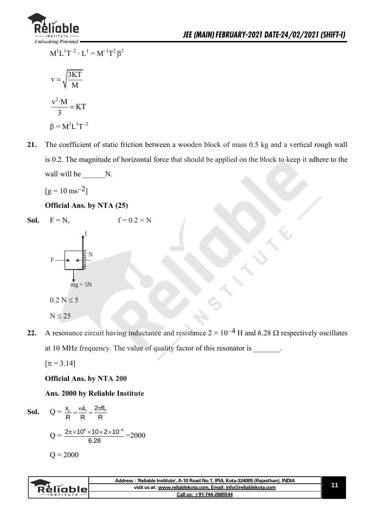

$$
M^{1}L^{1}T^{-2} \cdot L^{1} = M^{-1}T^{2} \beta^{2}
$$

$$
v = \sqrt{\frac{3KT}{M}}
$$

$$
\frac{v^{2} \cdot M}{2} = KT
$$

$$
\frac{\sqrt{M}}{3} = KT
$$

$$
\beta = M^{1}L^{1}T^{-2}
$$

**21.** The coefficient of static friction between a wooden block of mass 0.5 kg and a vertical rough wall is 0.2. The magnitude of horizontal force that should be applied on the block to keep it adhere to the wall will be \_\_\_\_\_\_\_N.

 $[g = 10 \text{ ms}^{-2}]$ 

 **Official Ans. by NTA (25)** 

**Sol.** 
$$
F = N
$$
,  $f = 0.2 \times N$   
\n $F$   
\n $F$   
\n $\frac{1}{mg} = 5N$   
\n $0.2 N \le 5$   
\n $N \le 25$ 

**22.** A resonance circuit having inductance and resistance  $2 \times 10^{-4}$  H and 6.28  $\Omega$  respectively oscillates at 10 MHz frequency. The value of quality factor of this resonator is \_\_\_\_\_\_\_.

 $[\pi = 3.14]$ 

 **Official Ans. by NTA 200** 

 **Ans. 2000 by Reliable Institute** 

**Sol.** 
$$
Q = \frac{x_L}{R} = \frac{\omega L}{R} = \frac{2\pi fL}{R}
$$
  
 $Q = \frac{2\pi \times 10^6 \times 10 \times 2 \times 10^{-4}}{6.28} = 2000$   
 $Q = 2000$ 

|                  | Address: 'Reliable Institute', A-10 Road No.1, IPIA, Kota-324005 (Rajasthan), INDIA |  |
|------------------|-------------------------------------------------------------------------------------|--|
| : Rèliables      | visit us at: www.reliablekota.com, Email: info@reliablekota.com                     |  |
| <b>INSTITUTE</b> | Call us: +91-744-2665544                                                            |  |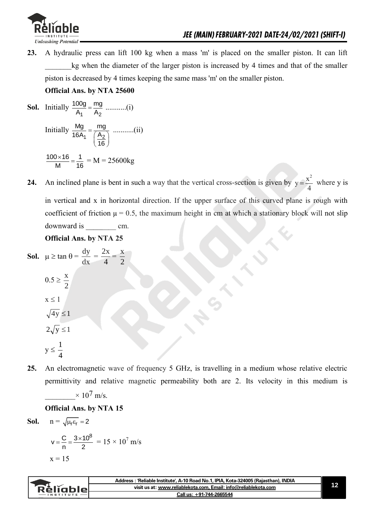

**23.** A hydraulic press can lift 100 kg when a mass 'm' is placed on the smaller piston. It can lift kg when the diameter of the larger piston is increased by 4 times and that of the smaller piston is decreased by 4 times keeping the same mass 'm' on the smaller piston.

### **Official Ans. by NTA 25600**

- **Sol.** Initially 1  $A_2$ 100g mg A A ...........(i) Initially 1  $\frac{A_2}{2}$ Mg mg 16A<sub>1</sub>  $(A)$ 16  $=\frac{mg}{\left(\frac{A_2}{16}\right)}$  ...........(ii)  $100 \times 16$  1 M 16  $\frac{\times 16}{10} = \frac{1}{18} = M = 25600kg$
- **24.** An inclined plane is bent in such a way that the vertical cross-section is given by y=  $y = \frac{x^2}{4}$ 4 where y is in vertical and x in horizontal direction. If the upper surface of this curved plane is rough with coefficient of friction  $\mu = 0.5$ , the maximum height in cm at which a stationary block will not slip downward is cm.

### **Official Ans. by NTA 25**

**Sol.**  $\mu \ge \tan \theta =$ dx  $\frac{dy}{dx}$  = 4  $\frac{2x}{4}$ 2 x x

$$
0.5 \ge \frac{2}{2}
$$
  

$$
x \le 1
$$
  

$$
\sqrt{4y} \le 1
$$
  

$$
2\sqrt{y} \le 1
$$
  

$$
y \le \frac{1}{4}
$$

**25.** An electromagnetic wave of frequency 5 GHz, is travelling in a medium whose relative electric permittivity and relative magnetic permeability both are 2. Its velocity in this medium is

 $\times 10^7$  m/s.

 **Official Ans. by NTA 15** 

**Sol.**  $n = \sqrt{\mu_r \varepsilon_r} = 2$ 

$$
v = \frac{C}{n} = \frac{3 \times 10^8}{2} = 15 \times 10^7 \text{ m/s}
$$

$$
x = 15
$$

|                             | <b>\: 'Reliable Institute', A-10 Road No.1, IPIA, Kota-324005 (Rajasthan), INDIA</b> |  |
|-----------------------------|--------------------------------------------------------------------------------------|--|
| eliable <b>de la contra</b> | visit us at: www.reliablekota.com, Email: info@reliablekota.com                      |  |
| $-$ INSTITUTE $-$           | Call us: +91-744-2665544                                                             |  |
|                             |                                                                                      |  |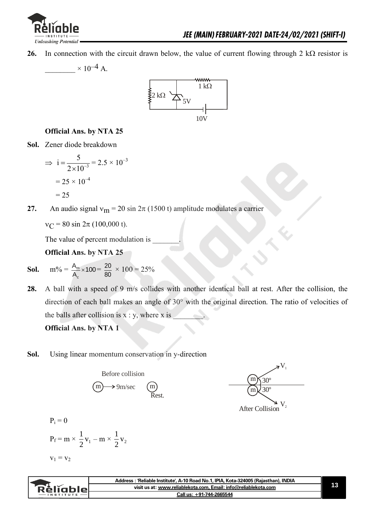

**26.** In connection with the circuit drawn below, the value of current flowing through 2 k $\Omega$  resistor is





### **Official Ans. by NTA 25**

**Sol.** Zener diode breakdown

$$
\Rightarrow i = \frac{5}{2 \times 10^{-3}} = 2.5 \times 10^{-3}
$$

$$
= 25 \times 10^{-4}
$$

$$
= 25
$$

**27.** An audio signal  $v_m = 20 \sin 2\pi (1500 t)$  amplitude modulates a carrier

 $v_C = 80 \sin 2\pi (100,000 \text{ t}).$ 

The value of percent modulation is

 **Official Ans. by NTA 25** 

- **Sol.**  $m\% = \frac{A_m}{A}$ c  $\frac{A_{\rm m}}{A_{\rm c}}$  × 100 =  $\frac{20}{80}$  $\frac{20}{80} \times 100 = 25\%$
- **28.** A ball with a speed of 9 m/s collides with another identical ball at rest. After the collision, the direction of each ball makes an angle of 30° with the original direction. The ratio of velocities of the balls after collision is  $x : y$ , where x is

m m

After Collision

30º 30º  $V<sub>1</sub>$ 

 **Official Ans. by NTA 1** 

**Sol.** Using linear momentum conservation in y-direction

Before collision  
\n
$$
(m) \rightarrow 9m/sec
$$
\n
$$
(m)
$$
\n
$$
(m)
$$
\n
$$
(m)
$$
\n
$$
(m)
$$
\n
$$
(m)
$$
\n
$$
(m)
$$
\n
$$
(m)
$$
\n
$$
(m)
$$
\n
$$
(m)
$$
\n
$$
(m)
$$
\n
$$
(m)
$$
\n
$$
(m)
$$
\n
$$
(m)
$$
\n
$$
(m)
$$
\n
$$
(m)
$$
\n
$$
(m)
$$
\n
$$
(m)
$$
\n
$$
(m)
$$
\n
$$
(m)
$$
\n
$$
(m)
$$
\n
$$
(m)
$$
\n
$$
(m)
$$
\n
$$
(m)
$$
\n
$$
(m)
$$
\n
$$
(m)
$$
\n
$$
(m)
$$
\n
$$
(m)
$$
\n
$$
(m)
$$
\n
$$
(m)
$$
\n
$$
(m)
$$
\n
$$
(m)
$$
\n
$$
(m)
$$
\n
$$
(m)
$$
\n
$$
(m)
$$
\n
$$
(m)
$$
\n
$$
(m)
$$
\n
$$
(m)
$$
\n
$$
(m)
$$
\n
$$
(m)
$$
\n
$$
(m)
$$
\n
$$
(m)
$$
\n
$$
(m)
$$
\n
$$
(m)
$$
\n
$$
(m)
$$
\n
$$
(m)
$$
\n
$$
(m)
$$
\n
$$
(m)
$$
\n
$$
(m)
$$
\n
$$
(m)
$$
\n
$$
(m)
$$
\n
$$
(m)
$$
\n
$$
(m)
$$
\n
$$
(m)
$$
\n
$$
(m)
$$
\n
$$
(m)
$$
\n
$$
(m)
$$
\n
$$
(m)
$$
\n
$$
(m)
$$
\n
$$
(m)
$$
\n
$$
(m)
$$
\n
$$
(m)
$$
\n
$$
(m)
$$
\n
$$
(m)
$$
\n
$$
(m)
$$
\n
$$
(m)
$$
\n
$$
(m)
$$
\n
$$
(m)
$$
\n<math display="block</p>

$$
P_f = m \times \frac{1}{2}v_1 - m \times \frac{1}{2}v_2
$$
  

$$
v_1 = v_2
$$